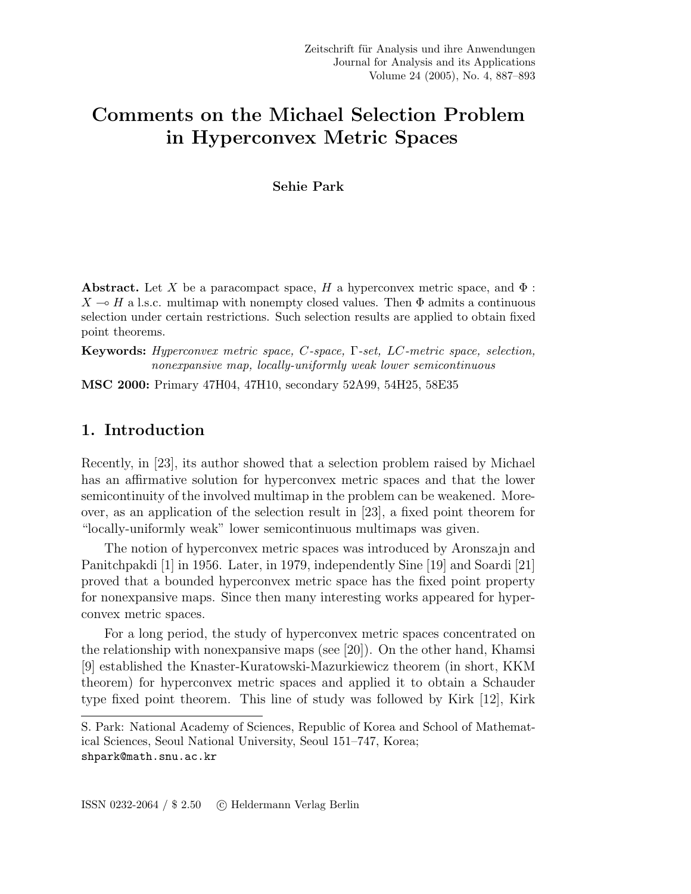# Comments on the Michael Selection Problem in Hyperconvex Metric Spaces

#### Sehie Park

**Abstract.** Let X be a paracompact space, H a hyperconvex metric space, and  $\Phi$ :  $X \rightarrow H$  a l.s.c. multimap with nonempty closed values. Then  $\Phi$  admits a continuous selection under certain restrictions. Such selection results are applied to obtain fixed point theorems.

Keywords: Hyperconvex metric space, C-space, Γ-set, LC-metric space, selection, nonexpansive map, locally-uniformly weak lower semicontinuous

MSC 2000: Primary 47H04, 47H10, secondary 52A99, 54H25, 58E35

## 1. Introduction

Recently, in [23], its author showed that a selection problem raised by Michael has an affirmative solution for hyperconvex metric spaces and that the lower semicontinuity of the involved multimap in the problem can be weakened. Moreover, as an application of the selection result in [23], a fixed point theorem for "locally-uniformly weak" lower semicontinuous multimaps was given.

The notion of hyperconvex metric spaces was introduced by Aronszajn and Panitchpakdi [1] in 1956. Later, in 1979, independently Sine [19] and Soardi [21] proved that a bounded hyperconvex metric space has the fixed point property for nonexpansive maps. Since then many interesting works appeared for hyperconvex metric spaces.

For a long period, the study of hyperconvex metric spaces concentrated on the relationship with nonexpansive maps (see [20]). On the other hand, Khamsi [9] established the Knaster-Kuratowski-Mazurkiewicz theorem (in short, KKM theorem) for hyperconvex metric spaces and applied it to obtain a Schauder type fixed point theorem. This line of study was followed by Kirk [12], Kirk

S. Park: National Academy of Sciences, Republic of Korea and School of Mathematical Sciences, Seoul National University, Seoul 151–747, Korea; shpark@math.snu.ac.kr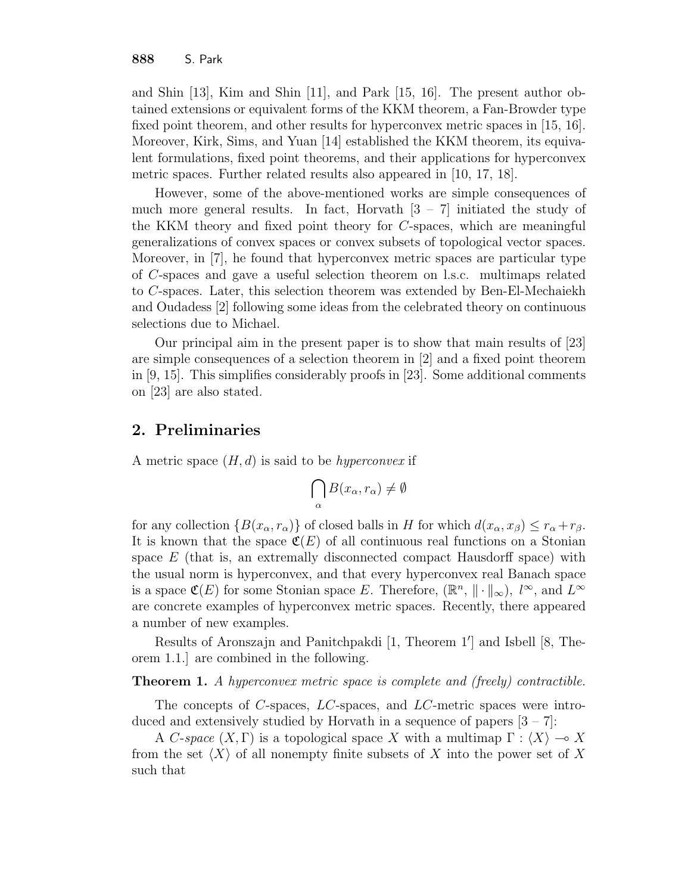and Shin [13], Kim and Shin [11], and Park [15, 16]. The present author obtained extensions or equivalent forms of the KKM theorem, a Fan-Browder type fixed point theorem, and other results for hyperconvex metric spaces in [15, 16]. Moreover, Kirk, Sims, and Yuan [14] established the KKM theorem, its equivalent formulations, fixed point theorems, and their applications for hyperconvex metric spaces. Further related results also appeared in [10, 17, 18].

However, some of the above-mentioned works are simple consequences of much more general results. In fact, Horvath  $[3 - 7]$  initiated the study of the KKM theory and fixed point theory for C-spaces, which are meaningful generalizations of convex spaces or convex subsets of topological vector spaces. Moreover, in [7], he found that hyperconvex metric spaces are particular type of C-spaces and gave a useful selection theorem on l.s.c. multimaps related to C-spaces. Later, this selection theorem was extended by Ben-El-Mechaiekh and Oudadess [2] following some ideas from the celebrated theory on continuous selections due to Michael.

Our principal aim in the present paper is to show that main results of [23] are simple consequences of a selection theorem in [2] and a fixed point theorem in [9, 15]. This simplifies considerably proofs in [23]. Some additional comments on [23] are also stated.

## 2. Preliminaries

A metric space  $(H, d)$  is said to be *hyperconvex* if

$$
\bigcap_{\alpha} B(x_{\alpha}, r_{\alpha}) \neq \emptyset
$$

for any collection  $\{B(x_{\alpha}, r_{\alpha})\}$  of closed balls in H for which  $d(x_{\alpha}, x_{\beta}) \leq r_{\alpha} + r_{\beta}$ . It is known that the space  $\mathfrak{C}(E)$  of all continuous real functions on a Stonian space  $E$  (that is, an extremally disconnected compact Hausdorff space) with the usual norm is hyperconvex, and that every hyperconvex real Banach space is a space  $\mathfrak{C}(E)$  for some Stonian space E. Therefore,  $(\mathbb{R}^n, \| \cdot \|_{\infty}), l^{\infty}$ , and  $L^{\infty}$ are concrete examples of hyperconvex metric spaces. Recently, there appeared a number of new examples.

Results of Aronszajn and Panitchpakdi [1, Theorem 1'] and Isbell [8, Theorem 1.1.] are combined in the following.

#### Theorem 1. A hyperconvex metric space is complete and (freely) contractible.

The concepts of C-spaces,  $LC$ -spaces, and  $LC$ -metric spaces were introduced and extensively studied by Horvath in a sequence of papers  $[3 - 7]$ :

A C-space  $(X, \Gamma)$  is a topological space X with a multimap  $\Gamma : \langle X \rangle \longrightarrow X$ from the set  $\langle X \rangle$  of all nonempty finite subsets of X into the power set of X such that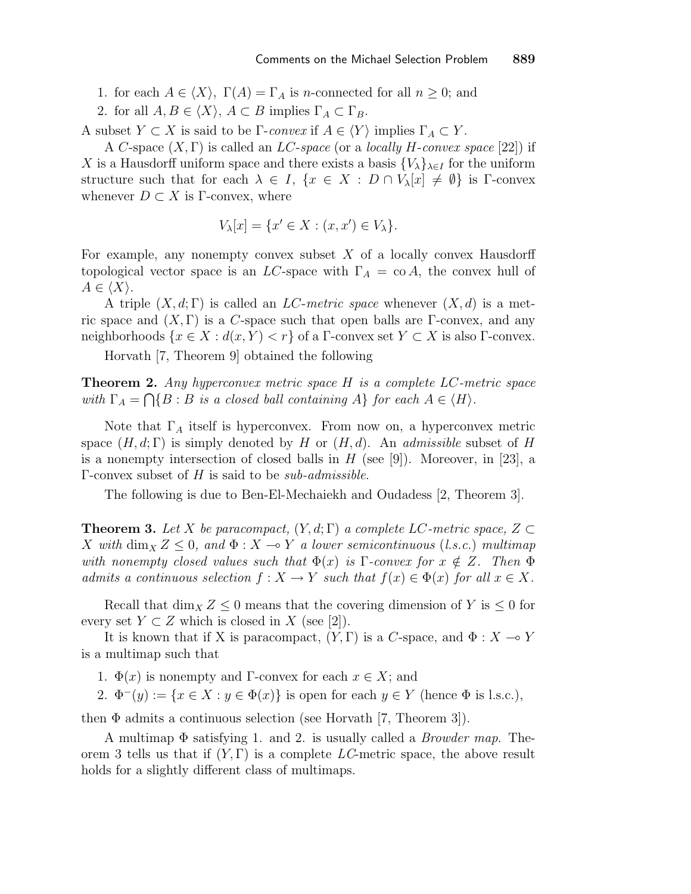1. for each  $A \in \langle X \rangle$ ,  $\Gamma(A) = \Gamma_A$  is *n*-connected for all  $n \geq 0$ ; and

2. for all  $A, B \in \langle X \rangle$ ,  $A \subset B$  implies  $\Gamma_A \subset \Gamma_B$ .

A subset  $Y \subset X$  is said to be  $\Gamma$ -convex if  $A \in \langle Y \rangle$  implies  $\Gamma_A \subset Y$ .

A C-space  $(X, \Gamma)$  is called an *LC-space* (or a *locally H-convex space* [22]) if X is a Hausdorff uniform space and there exists a basis  $\{V_\lambda\}_{\lambda \in I}$  for the uniform structure such that for each  $\lambda \in I$ ,  $\{x \in X : D \cap V_{\lambda}[x] \neq \emptyset\}$  is  $\Gamma$ -convex whenever  $D \subset X$  is Γ-convex, where

$$
V_{\lambda}[x] = \{x' \in X : (x, x') \in V_{\lambda}\}.
$$

For example, any nonempty convex subset  $X$  of a locally convex Hausdorff topological vector space is an LC-space with  $\Gamma_A = \text{co } A$ , the convex hull of  $A \in \langle X \rangle$ .

A triple  $(X, d; \Gamma)$  is called an *LC-metric space* whenever  $(X, d)$  is a metric space and  $(X, \Gamma)$  is a C-space such that open balls are  $\Gamma$ -convex, and any neighborhoods  $\{x \in X : d(x, Y) < r\}$  of a  $\Gamma$ -convex set  $Y \subset X$  is also  $\Gamma$ -convex.

Horvath [7, Theorem 9] obtained the following

**Theorem 2.** Any hyperconvex metric space  $H$  is a complete  $LC$ -metric space with  $\Gamma_A = \bigcap \{B : B \text{ is a closed ball containing } A\}$  for each  $A \in \langle H \rangle$ .

Note that  $\Gamma_A$  itself is hyperconvex. From now on, a hyperconvex metric space  $(H, d; \Gamma)$  is simply denoted by H or  $(H, d)$ . An *admissible* subset of H is a nonempty intersection of closed balls in  $H$  (see [9]). Moreover, in [23], a  $\Gamma$ -convex subset of H is said to be *sub-admissible*.

The following is due to Ben-El-Mechaiekh and Oudadess [2, Theorem 3].

**Theorem 3.** Let X be paracompact,  $(Y, d; \Gamma)$  a complete LC-metric space,  $Z \subset$ X with  $\dim_X Z \leq 0$ , and  $\Phi: X \to Y$  a lower semicontinuous (l.s.c.) multimap with nonempty closed values such that  $\Phi(x)$  is  $\Gamma$ -convex for  $x \notin Z$ . Then  $\Phi$ admits a continuous selection  $f: X \to Y$  such that  $f(x) \in \Phi(x)$  for all  $x \in X$ .

Recall that  $\dim_X Z \leq 0$  means that the covering dimension of Y is  $\leq 0$  for every set  $Y \subset Z$  which is closed in X (see [2]).

It is known that if X is paracompact,  $(Y, \Gamma)$  is a C-space, and  $\Phi : X \to Y$ is a multimap such that

1.  $\Phi(x)$  is nonempty and Γ-convex for each  $x \in X$ ; and

2.  $\Phi^-(y) := \{x \in X : y \in \Phi(x)\}\$ is open for each  $y \in Y$  (hence  $\Phi$  is l.s.c.),

then  $\Phi$  admits a continuous selection (see Horvath [7, Theorem 3]).

A multimap  $\Phi$  satisfying 1. and 2. is usually called a *Browder map*. Theorem 3 tells us that if  $(Y, \Gamma)$  is a complete LC-metric space, the above result holds for a slightly different class of multimaps.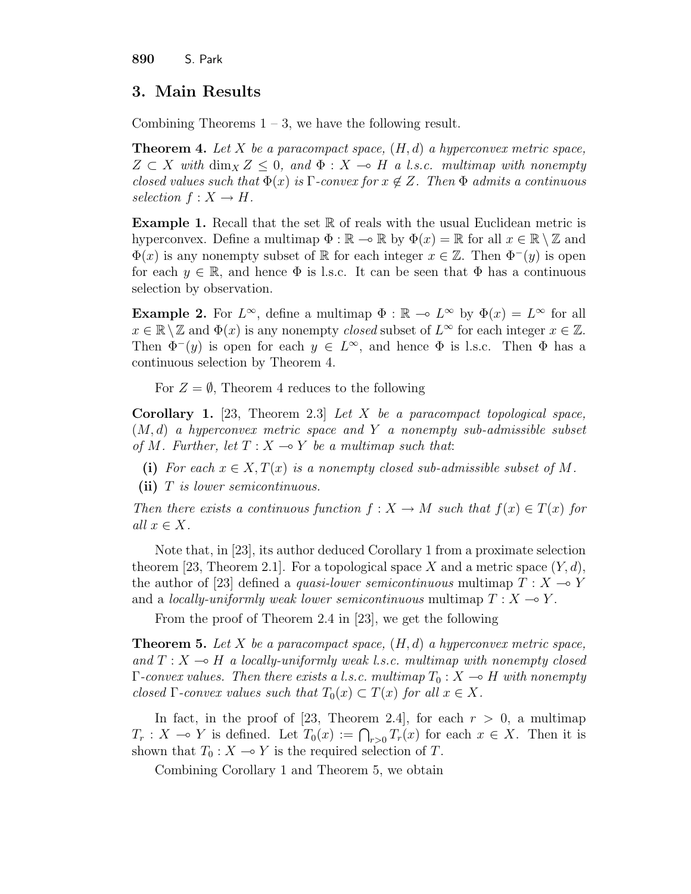890 S. Park

# 3. Main Results

Combining Theorems  $1 - 3$ , we have the following result.

**Theorem 4.** Let X be a paracompact space,  $(H, d)$  a hyperconvex metric space,  $Z \subset X$  with  $\dim_X Z \leq 0$ , and  $\Phi: X \to H$  a l.s.c. multimap with nonempty closed values such that  $\Phi(x)$  is  $\Gamma$ -convex for  $x \notin Z$ . Then  $\Phi$  admits a continuous selection  $f: X \to H$ .

**Example 1.** Recall that the set  $\mathbb R$  of reals with the usual Euclidean metric is hyperconvex. Define a multimap  $\Phi : \mathbb{R} \to \mathbb{R}$  by  $\Phi(x) = \mathbb{R}$  for all  $x \in \mathbb{R} \setminus \mathbb{Z}$  and  $\Phi(x)$  is any nonempty subset of R for each integer  $x \in \mathbb{Z}$ . Then  $\Phi^-(y)$  is open for each  $y \in \mathbb{R}$ , and hence  $\Phi$  is l.s.c. It can be seen that  $\Phi$  has a continuous selection by observation.

**Example 2.** For  $L^{\infty}$ , define a multimap  $\Phi : \mathbb{R} \to L^{\infty}$  by  $\Phi(x) = L^{\infty}$  for all  $x \in \mathbb{R} \setminus \mathbb{Z}$  and  $\Phi(x)$  is any nonempty *closed* subset of  $L^{\infty}$  for each integer  $x \in \mathbb{Z}$ . Then  $\Phi^-(y)$  is open for each  $y \in L^{\infty}$ , and hence  $\Phi$  is l.s.c. Then  $\Phi$  has a continuous selection by Theorem 4.

For  $Z = \emptyset$ , Theorem 4 reduces to the following

**Corollary 1.** [23, Theorem 2.3] Let X be a paracompact topological space,  $(M, d)$  a hyperconvex metric space and Y a nonempty sub-admissible subset of M. Further, let  $T : X \longrightarrow Y$  be a multimap such that:

- (i) For each  $x \in X, T(x)$  is a nonempty closed sub-admissible subset of M.
- (ii)  $T$  is lower semicontinuous.

Then there exists a continuous function  $f: X \to M$  such that  $f(x) \in T(x)$  for all  $x \in X$ .

Note that, in [23], its author deduced Corollary 1 from a proximate selection theorem [23, Theorem 2.1]. For a topological space X and a metric space  $(Y, d)$ , the author of [23] defined a *quasi-lower semicontinuous* multimap  $T : X \rightarrow Y$ and a locally-uniformly weak lower semicontinuous multimap  $T : X \longrightarrow Y$ .

From the proof of Theorem 2.4 in [23], we get the following

**Theorem 5.** Let X be a paracompact space,  $(H, d)$  a hyperconvex metric space, and  $T : X \longrightarrow H$  a locally-uniformly weak l.s.c. multimap with nonempty closed  $\Gamma$ -convex values. Then there exists a l.s.c. multimap  $T_0 : X \to H$  with nonempty closed Γ-convex values such that  $T_0(x) \subset T(x)$  for all  $x \in X$ .

In fact, in the proof of [23, Theorem 2.4], for each  $r > 0$ , a multimap In fact, in the proof of [25, Theorem 2.4], for each  $r > 0$ , a multimap  $T_r: X \to Y$  is defined. Let  $T_0(x) := \bigcap_{r>0} T_r(x)$  for each  $x \in X$ . Then it is shown that  $T_0 : X \longrightarrow Y$  is the required selection of T.

Combining Corollary 1 and Theorem 5, we obtain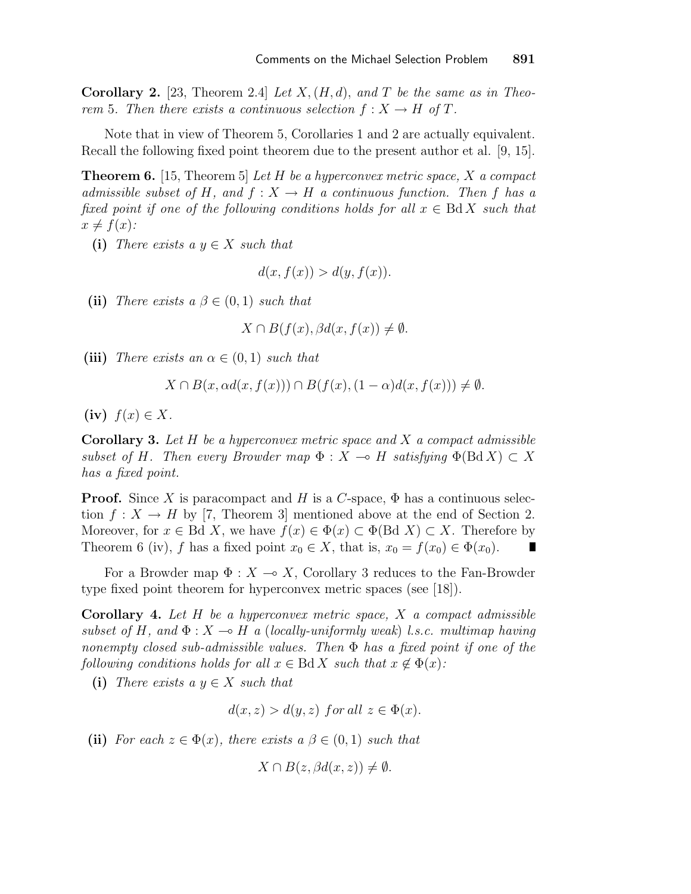**Corollary 2.** [23, Theorem 2.4] Let  $X$ ,  $(H, d)$ , and T be the same as in Theorem 5. Then there exists a continuous selection  $f: X \to H$  of T.

Note that in view of Theorem 5, Corollaries 1 and 2 are actually equivalent. Recall the following fixed point theorem due to the present author et al. [9, 15].

**Theorem 6.** [15, Theorem 5] Let H be a hyperconvex metric space, X a compact admissible subset of H, and  $f: X \to H$  a continuous function. Then f has a fixed point if one of the following conditions holds for all  $x \in \text{Bd } X$  such that  $x \neq f(x)$ :

(i) There exists a  $y \in X$  such that

$$
d(x, f(x)) > d(y, f(x)).
$$

(ii) There exists a  $\beta \in (0,1)$  such that

$$
X \cap B(f(x), \beta d(x, f(x)) \neq \emptyset.
$$

(iii) There exists an  $\alpha \in (0,1)$  such that

$$
X \cap B(x, \alpha d(x, f(x))) \cap B(f(x), (1 - \alpha) d(x, f(x))) \neq \emptyset.
$$

(iv)  $f(x) \in X$ .

**Corollary 3.** Let  $H$  be a hyperconvex metric space and  $X$  a compact admissible subset of H. Then every Browder map  $\Phi : X \to H$  satisfying  $\Phi(\text{Bd } X) \subset X$ has a fixed point.

**Proof.** Since X is paracompact and H is a C-space,  $\Phi$  has a continuous selection  $f: X \to H$  by [7, Theorem 3] mentioned above at the end of Section 2. Moreover, for  $x \in \text{Bd } X$ , we have  $f(x) \in \Phi(x) \subset \Phi(\text{Bd } X) \subset X$ . Therefore by Theorem 6 (iv), f has a fixed point  $x_0 \in X$ , that is,  $x_0 = f(x_0) \in \Phi(x_0)$ .

For a Browder map  $\Phi: X \to X$ , Corollary 3 reduces to the Fan-Browder type fixed point theorem for hyperconvex metric spaces (see [18]).

**Corollary 4.** Let  $H$  be a hyperconvex metric space,  $X$  a compact admissible subset of H, and  $\Phi: X \to H$  a (locally-uniformly weak) l.s.c. multimap having nonempty closed sub-admissible values. Then  $\Phi$  has a fixed point if one of the following conditions holds for all  $x \in \text{Bd } X$  such that  $x \notin \Phi(x)$ :

(i) There exists a  $y \in X$  such that

$$
d(x, z) > d(y, z) \text{ for all } z \in \Phi(x).
$$

(ii) For each  $z \in \Phi(x)$ , there exists  $a \beta \in (0,1)$  such that

$$
X \cap B(z, \beta d(x, z)) \neq \emptyset.
$$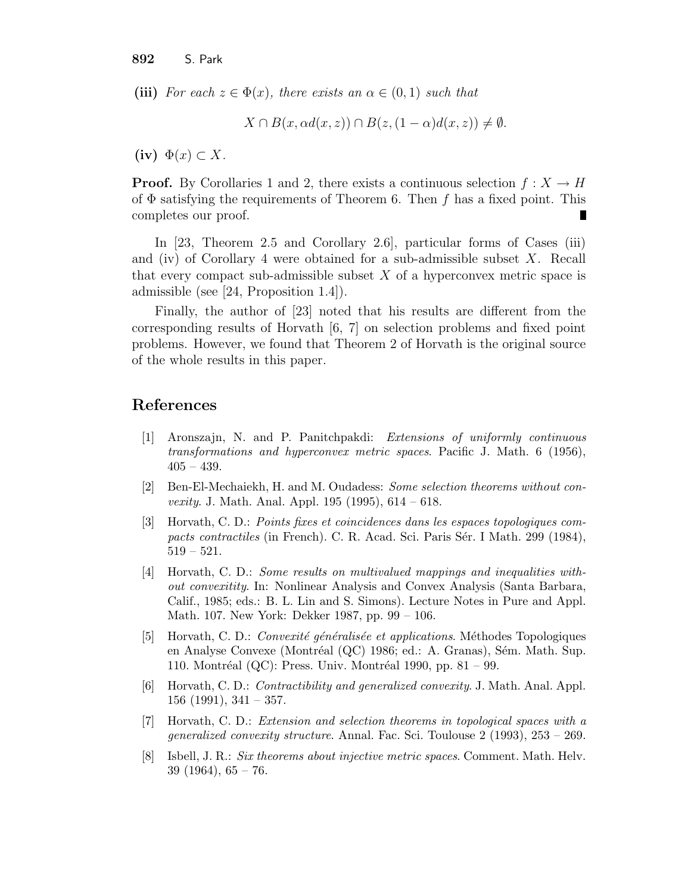(iii) For each  $z \in \Phi(x)$ , there exists an  $\alpha \in (0,1)$  such that

 $X \cap B(x, \alpha d(x, z)) \cap B(z, (1 - \alpha)d(x, z)) \neq \emptyset.$ 

(iv)  $\Phi(x) \subset X$ .

**Proof.** By Corollaries 1 and 2, there exists a continuous selection  $f: X \to H$ of  $\Phi$  satisfying the requirements of Theorem 6. Then f has a fixed point. This completes our proof. П

In [23, Theorem 2.5 and Corollary 2.6], particular forms of Cases (iii) and (iv) of Corollary 4 were obtained for a sub-admissible subset  $X$ . Recall that every compact sub-admissible subset  $X$  of a hyperconvex metric space is admissible (see [24, Proposition 1.4]).

Finally, the author of [23] noted that his results are different from the corresponding results of Horvath [6, 7] on selection problems and fixed point problems. However, we found that Theorem 2 of Horvath is the original source of the whole results in this paper.

### References

- [1] Aronszajn, N. and P. Panitchpakdi: Extensions of uniformly continuous transformations and hyperconvex metric spaces. Pacific J. Math. 6 (1956),  $405 - 439.$
- [2] Ben-El-Mechaiekh, H. and M. Oudadess: Some selection theorems without con*vexity.* J. Math. Anal. Appl.  $195$  (1995),  $614 - 618$ .
- [3] Horvath, C. D.: Points fixes et coincidences dans les espaces topologiques compacts contractiles (in French). C. R. Acad. Sci. Paris Sér. I Math. 299 (1984), 519 – 521.
- [4] Horvath, C. D.: Some results on multivalued mappings and inequalities without convexitity. In: Nonlinear Analysis and Convex Analysis (Santa Barbara, Calif., 1985; eds.: B. L. Lin and S. Simons). Lecture Notes in Pure and Appl. Math. 107. New York: Dekker 1987, pp. 99 – 106.
- [5] Horvath, C. D.: *Convexité généralisée et applications*. Méthodes Topologiques en Analyse Convexe (Montréal (QC) 1986; ed.: A. Granas), Sém. Math. Sup. 110. Montréal (QC): Press. Univ. Montréal 1990, pp. 81 – 99.
- [6] Horvath, C. D.: Contractibility and generalized convexity. J. Math. Anal. Appl.  $156$  (1991),  $341 - 357$ .
- [7] Horvath, C. D.: Extension and selection theorems in topological spaces with a generalized convexity structure. Annal. Fac. Sci. Toulouse 2 (1993), 253 – 269.
- [8] Isbell, J. R.: Six theorems about injective metric spaces. Comment. Math. Helv.  $39(1964), 65-76.$